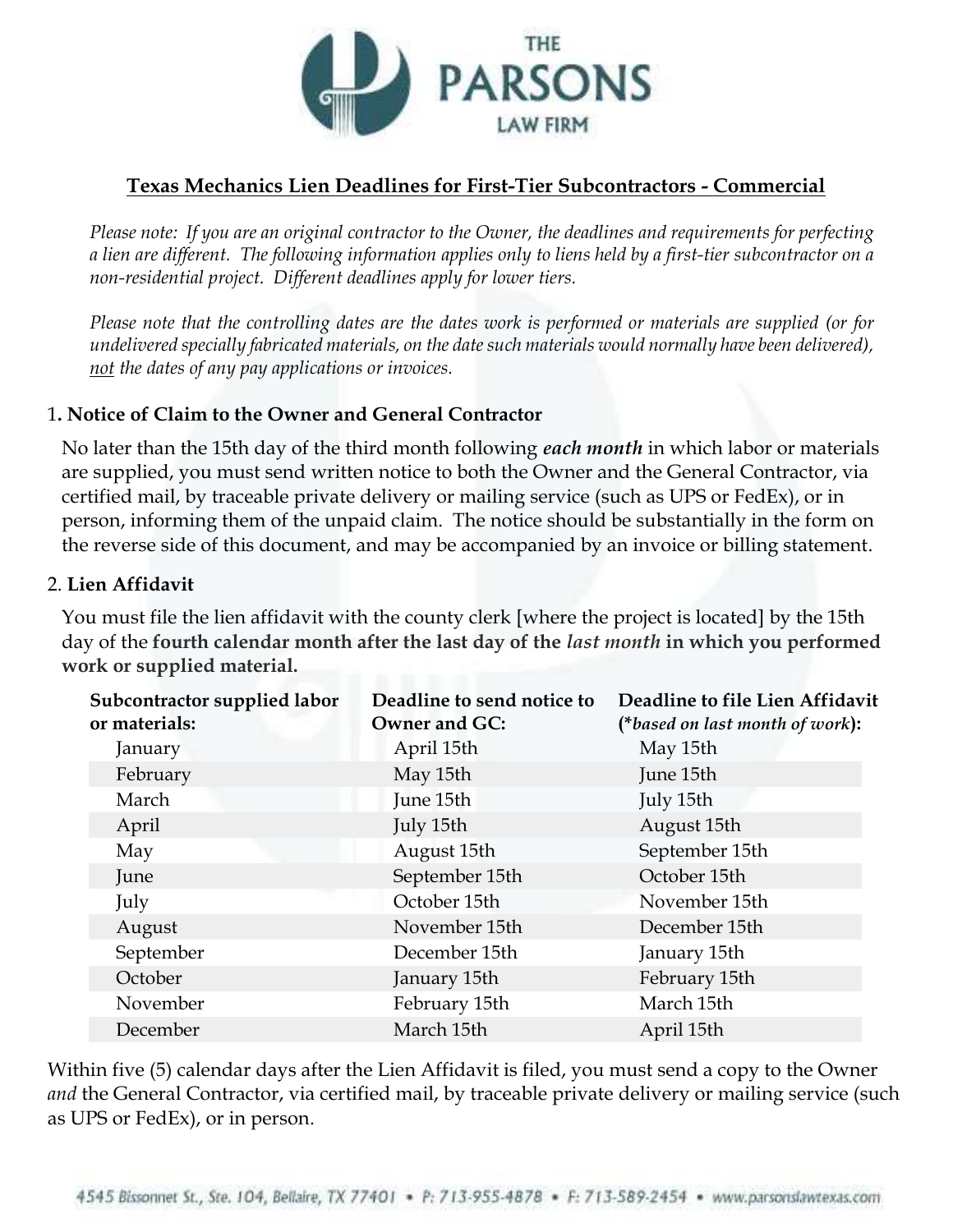

## **Texas Mechanics Lien Deadlines for First-Tier Subcontractors - Commercial**

*Please note: If you are an original contractor to the Owner, the deadlines and requirements for perfecting a lien are different. The following information applies only to liens held by a first-tier subcontractor on a non-residential project. Different deadlines apply for lower tiers.*

*Please note that the controlling dates are the dates work is performed or materials are supplied (or for undelivered specially fabricated materials, on the date such materials would normally have been delivered), not the dates of any pay applications or invoices.* 

## 1**. Notice of Claim to the Owner and General Contractor**

No later than the 15th day of the third month following *each month* in which labor or materials are supplied, you must send written notice to both the Owner and the General Contractor, via certified mail, by traceable private delivery or mailing service (such as UPS or FedEx), or in person, informing them of the unpaid claim. The notice should be substantially in the form on the reverse side of this document, and may be accompanied by an invoice or billing statement.

## 2. **Lien Affidavit**

You must file the lien affidavit with the county clerk [where the project is located] by the 15th day of the **fourth calendar month after the last day of the** *last month* **in which you performed work or supplied material.**

| Subcontractor supplied labor<br>or materials: | Deadline to send notice to<br><b>Owner and GC:</b> | Deadline to file Lien Affidavit<br>(*based on last month of work): |
|-----------------------------------------------|----------------------------------------------------|--------------------------------------------------------------------|
| January                                       | April 15th                                         | May 15th                                                           |
| February                                      | May 15th                                           | June 15th                                                          |
| March                                         | June 15th                                          | July 15th                                                          |
| April                                         | July 15th                                          | August 15th                                                        |
| May                                           | August 15th                                        | September 15th                                                     |
| June                                          | September 15th                                     | October 15th                                                       |
| July                                          | October 15th                                       | November 15th                                                      |
| August                                        | November 15th                                      | December 15th                                                      |
| September                                     | December 15th                                      | January 15th                                                       |
| October                                       | January 15th                                       | February 15th                                                      |
| November                                      | February 15th                                      | March 15th                                                         |
| December                                      | March 15th                                         | April 15th                                                         |

Within five (5) calendar days after the Lien Affidavit is filed, you must send a copy to the Owner *and* the General Contractor, via certified mail, by traceable private delivery or mailing service (such as UPS or FedEx), or in person.